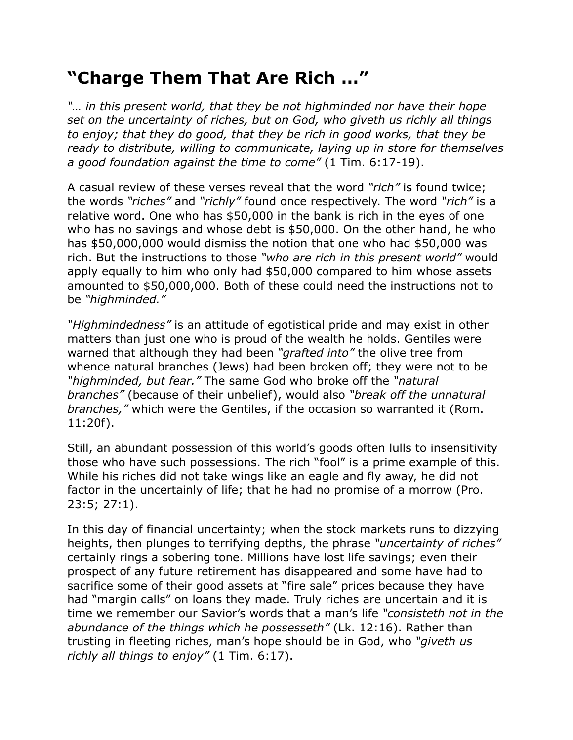## **"Charge Them That Are Rich …"**

*"… in this present world, that they be not highminded nor have their hope set on the uncertainty of riches, but on God, who giveth us richly all things to enjoy; that they do good, that they be rich in good works, that they be ready to distribute, willing to communicate, laying up in store for themselves a good foundation against the time to come"* (1 Tim. 6:17-19).

A casual review of these verses reveal that the word *"rich"* is found twice; the words *"riches"* and *"richly"* found once respectively. The word *"rich"* is a relative word. One who has \$50,000 in the bank is rich in the eyes of one who has no savings and whose debt is \$50,000. On the other hand, he who has \$50,000,000 would dismiss the notion that one who had \$50,000 was rich. But the instructions to those *"who are rich in this present world"* would apply equally to him who only had \$50,000 compared to him whose assets amounted to \$50,000,000. Both of these could need the instructions not to be *"highminded."*

*"Highmindedness"* is an attitude of egotistical pride and may exist in other matters than just one who is proud of the wealth he holds. Gentiles were warned that although they had been *"grafted into"* the olive tree from whence natural branches (Jews) had been broken off; they were not to be *"highminded, but fear."* The same God who broke off the *"natural branches"* (because of their unbelief), would also *"break off the unnatural branches,"* which were the Gentiles, if the occasion so warranted it (Rom. 11:20f).

Still, an abundant possession of this world's goods often lulls to insensitivity those who have such possessions. The rich "fool" is a prime example of this. While his riches did not take wings like an eagle and fly away, he did not factor in the uncertainly of life; that he had no promise of a morrow (Pro. 23:5; 27:1).

In this day of financial uncertainty; when the stock markets runs to dizzying heights, then plunges to terrifying depths, the phrase *"uncertainty of riches"* certainly rings a sobering tone. Millions have lost life savings; even their prospect of any future retirement has disappeared and some have had to sacrifice some of their good assets at "fire sale" prices because they have had "margin calls" on loans they made. Truly riches are uncertain and it is time we remember our Savior's words that a man's life *"consisteth not in the abundance of the things which he possesseth"* (Lk. 12:16). Rather than trusting in fleeting riches, man's hope should be in God, who *"giveth us richly all things to enjoy"* (1 Tim. 6:17).